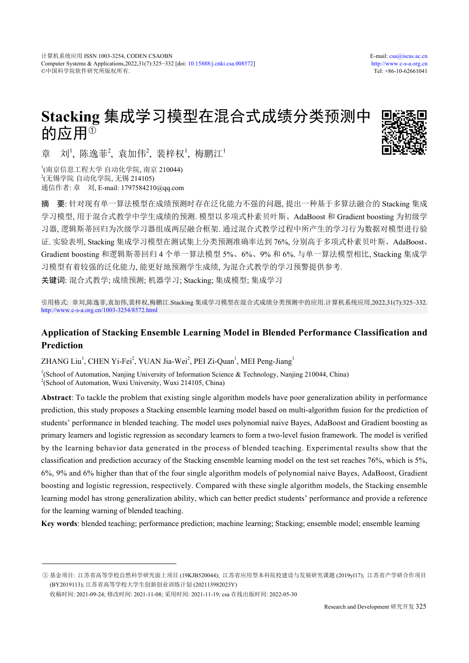# **Stacking** 集成学习模型在混合式成绩分类预测中 的应用<sup>①</sup>



章 刘<sup>1</sup>, 陈逸菲<sup>2</sup>, 袁加伟<sup>2</sup>, 裴梓权<sup>1</sup>, 梅鹏江<sup>1</sup>

1 (南京信息工程大学 自动化学院, 南京 210044)  $^{2}$ (无锡学院 自动化学院, 无锡 214105) 通信作者: 章 刘, E-mail: 1797584210@qq.com

摘 要: 针对现有单一算法模型在成绩预测时存在泛化能力不强的问题, 提出一种基于多算法融合的 Stacking 集成 学习模型, 用于混合式教学中学生成绩的预测. 模型以多项式朴素贝叶斯、AdaBoost 和 Gradient boosting 为初级学 习器, 逻辑斯蒂回归为次级学习器组成两层融合框架. 通过混合式教学过程中所产生的学习行为数据对模型进行验 证. 实验表明, Stacking 集成学习模型在测试集上分类预测准确率达到 76%, 分别高于多项式朴素贝叶斯、AdaBoost、 Gradient boosting 和逻辑斯蒂回归 4 个单一算法模型 5%、6%、9% 和 6%. 与单一算法模型相比, Stacking 集成学 习模型有着较强的泛化能力, 能更好地预测学生成绩, 为混合式教学的学习预警提供参考.

关键词: 混合式教学; 成绩预测; 机器学习; Stacking; 集成模型; 集成学习

引用格式: 章刘,陈逸菲,袁加伟,裴梓权,梅鹏江.Stacking 集成学习模型在混合式成绩分类预测中的应用.计算机系统应用,2022,31(7):325–332. <http://www.c-s-a.org.cn/1003-3254/8572.html>

# **Application of Stacking Ensemble Learning Model in Blended Performance Classification and Prediction**

ZHANG Liu<sup>1</sup>, CHEN Yi-Fei<sup>2</sup>, YUAN Jia-Wei<sup>2</sup>, PEI Zi-Quan<sup>1</sup>, MEI Peng-Jiang<sup>1</sup>

<sup>1</sup>(School of Automation, Nanjing University of Information Science & Technology, Nanjing 210044, China) <sup>2</sup>(School of Automation, Wuxi University, Wuxi 214105, China)

**Abstract**: To tackle the problem that existing single algorithm models have poor generalization ability in performance prediction, this study proposes a Stacking ensemble learning model based on multi-algorithm fusion for the prediction of students' performance in blended teaching. The model uses polynomial naive Bayes, AdaBoost and Gradient boosting as primary learners and logistic regression as secondary learners to form a two-level fusion framework. The model is verified by the learning behavior data generated in the process of blended teaching. Experimental results show that the classification and prediction accuracy of the Stacking ensemble learning model on the test set reaches 76%, which is 5%, 6%, 9% and 6% higher than that of the four single algorithm models of polynomial naive Bayes, AdaBoost, Gradient boosting and logistic regression, respectively. Compared with these single algorithm models, the Stacking ensemble learning model has strong generalization ability, which can better predict students' performance and provide a reference for the learning warning of blended teaching.

**Key words**: blended teaching; performance prediction; machine learning; Stacking; ensemble model; ensemble learning

① 基金项目: 江苏省高等学校自然科学研究面上项目 (19KJB520044); 江苏省应用型本科院校建设与发展研究课题 (2019yl17); 江苏省产学研合作项目 (BY2019113); 江苏省高等学校大学生创新创业训练计划 (202113982023Y)

收稿时间: 2021-09-24; 修改时间: 2021-11-08; 采用时间: 2021-11-19; csa 在线出版时间: 2022-05-30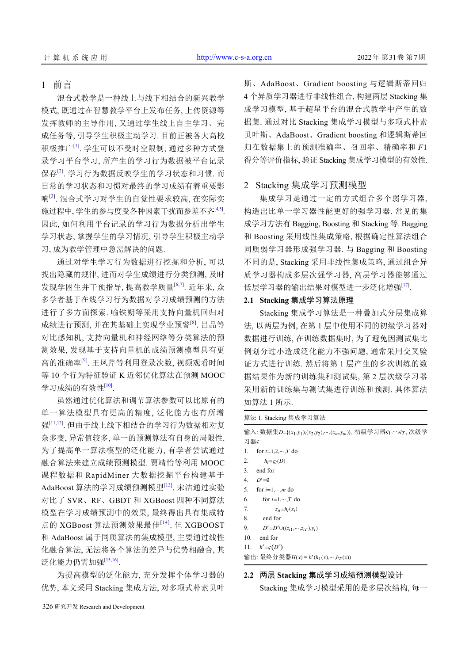# 1 前言

混合式教学是一种线上与线下相结合的新兴教学 模式, 既通过在智慧教学平台上发布任务, 上传资源等 发挥教师的主导作用, 又通过学生线上自主学习、完 成任务等, 引导学生积极主动学习. 目前正被各大高校 积极推广<sup>[\[1\]](#page-6-0)</sup>. 学生可以不受时空限制, 通过多种方式登 录学习平台学习, 所产生的学习行为数据被平台记录 保存<sup>[[2](#page-6-1)]</sup>. 学习行为数据反映学生的学习状态和习惯. 而 日常的学习状态和习惯对最终的学习成绩有着重要影 响[[3](#page-6-2)] . 混合式学习对学生的自觉性要求较高, 在实际实 施过程中, 学生的参与度受各种因素干扰而参差不齐<sup>[\[4](#page-6-3)[,5\]](#page-6-4)</sup>. 因此, 如何利用平台记录的学习行为数据分析出学生 学习状态, 掌握学生的学习情况, 引导学生积极主动学 习, 成为教学管理中急需解决的问题.

通过对学生学习行为数据进行挖掘和分析, 可以 找出隐藏的规律, 进而对学生成绩进行分类预测, 及时 发现学困生并干预指导, 提高教学质量[\[6](#page-6-5)[,7](#page-6-6)] . 近年来, 众 多学者基于在线学习行为数据对学习成绩预测的方法 进行了多方面探索. 喻铁朔等采用支持向量机回归对 成绩进行预测, 并在其基础上实现学业预警<sup>[[8](#page-6-7)]</sup>. 吕品等 对比感知机, 支持向量机和神经网络等分类算法的预 测效果, 发现基于支持向量机的成绩预测模型具有更 高的准确率<sup>[[9\]](#page-6-8)</sup>. 王凤芹等利用登录次数, 视频观看时间 等 10 个行为特征验证 K 近邻优化算法在预测 MOOC 学习成绩的有效性<sup>[\[10](#page-6-9)]</sup>.

虽然通过优化算法和调节算法参数可以比原有的 单一算法模型具有更高的精度, 泛化能力也有所增 强[\[11,](#page-6-10)[12](#page-6-11)] . 但由于线上线下相结合的学习行为数据相对复 杂多变, 异常值较多, 单一的预测算法有自身的局限性. 为了提高单一算法模型的泛化能力, 有学者尝试通过 融合算法来建立成绩预测模型. 贾靖怡等利用 MOOC 课程数据和 RapidMiner 大数据挖掘平台构建基于 AdaBoost 算法的学习成绩预测模型<sup>[\[13\]](#page-7-0)</sup>. 宋洁通过实验 对比了 SVR、RF、GBDT 和 XGBoost 四种不同算法 模型在学习成绩预测中的效果, 最终得出具有集成特 点的 XGBoost 算法预测效果最佳[[14](#page-7-1)] . 但 XGBOOST 和 AdaBoost 属于同质算法的集成模型, 主要通过线性 化融合算法, 无法将各个算法的差异与优势相融合, 其 泛化能力仍需加强<sup>[\[15](#page-7-2)[,16](#page-7-3)]</sup>.

为提高模型的泛化能力, 充分发挥个体学习器的 优势, 本文采用 Stacking 集成方法, 对多项式朴素贝叶 斯、AdaBoost、Gradient boosting 与逻辑斯蒂回归 4 个异质学习器进行非线性组合, 构建两层 Stacking 集 成学习模型, 基于超星平台的混合式教学中产生的数 据集. 通过对比 Stacking 集成学习模型与多项式朴素 贝叶斯、AdaBoost、Gradient boosting 和逻辑斯蒂回 归在数据集上的预测准确率、召回率、精确率和 *F*1 得分等评价指标, 验证 Stacking 集成学习模型的有效性.

# 2 Stacking 集成学习预测模型

集成学习是通过一定的方式组合多个弱学习器, 构造出比单一学习器性能更好的强学习器. 常见的集 成学习方法有 Bagging, Boosting 和 Stacking 等. Bagging 和 Boosting 采用线性集成策略, 根据确定性算法组合 同质弱学习器形成强学习器. 与 Bagging 和 Boosting 不同的是, Stacking 采用非线性集成策略, 通过组合异 质学习器构成多层次强学习器, 高层学习器能够通过 低层学习器的输出结果对模型进一步泛化增强[[17\]](#page-7-4).

### **2.1 Stacking** 集成学习算法原理

Stacking 集成学习算法是一种叠加式分层集成算 法, 以两层为例, 在第 1 层中使用不同的初级学习器对 数据进行训练, 在训练数据集时, 为了避免因测试集比 例划分过小造成泛化能力不强问题, 通常采用交叉验 证方式进行训练. 然后将第 1 层产生的多次训练的数 据结果作为新的训练集和测试集, 第 2 层次级学习器 采用新的训练集与测试集进行训练和预测. 具体算法 如算法 1 所示.

算法 1. Stacking 集成学习算法 输入: 数据集D={(*x*<sub>1</sub>,y<sub>1</sub>),(*x*<sub>2</sub>,y<sub>2</sub>),…,(*x<sub>m</sub>*,y<sub>m</sub>)}, 初级学习器 s1,…,sr, 次级学 习器 1. for  $t=1,2,\dots,T$  do 2.  $h_t = \varsigma_t(D)$ 3. end for 4.  $D' = \emptyset$ 5. for  $i=1,...,m$  do 6. for  $t=1,\dots,T$  do 7.  $z_{it} = h_t(x_i)$ 8. end for 9.  $D' = D' \cup ((z_{i1}, \dots, z_{iT}), y_i)$ 

- 10. end for
- 11.  $h' = \varsigma(D')$

*H*(*x*) = *h* ′ 输出: 最终分类器 (*h*1(*x*),···,*h<sup>T</sup>* (*x*))

# **2.2** 两层 **Stacking** 集成学习成绩预测模型设计

Stacking 集成学习模型采用的是多层次结构, 每一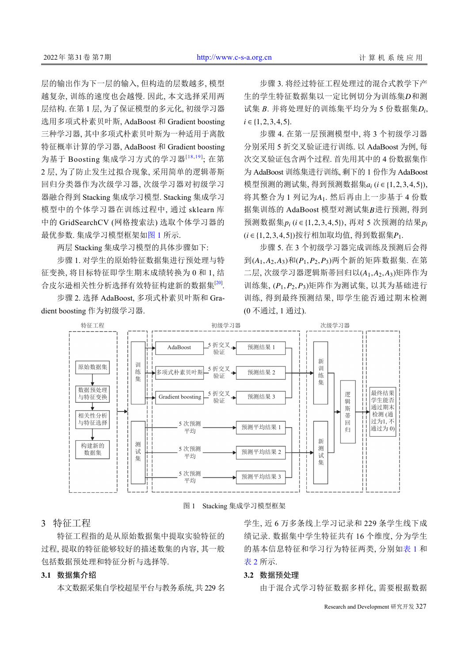层的输出作为下一层的输入, 但构造的层数越多, 模型 越复杂, 训练的速度也会越慢. 因此, 本文选择采用两 层结构. 在第 1 层, 为了保证模型的多元化, 初级学习器 选用多项式朴素贝叶斯, AdaBoost 和 Gradient boosting 三种学习器, 其中多项式朴素贝叶斯为一种适用于离散 特征概率计算的学习器, AdaBoost 和 Gradient boosting 为基于 Boosting 集成学习方式的学习器<sup>[[18](#page-7-5),[19](#page-7-6)]</sup>; 在第 2 层, 为了防止发生过拟合现象, 采用简单的逻辑蒂斯 回归分类器作为次级学习器, 次级学习器对初级学习 器融合得到 Stacking 集成学习模型. Stacking 集成学习 模型中的个体学习器在训练过程中, 通过 sklearn 库 中的 GridSearchCV (网格搜索法) 选取个体学习器的 最优参数. 集成学习模型框架[如图](#page-2-0) [1](#page-2-0) 所示.

两层 Stacking 集成学习模型的具体步骤如下:

步骤 1. 对学生的原始特征数据集进行预处理与特 征变换, 将目标特征即学生期末成绩转换为 0 和 1, 结 合皮尔逊相关性分析选择有效特征构建新的数据集[\[20](#page-7-7)] .

步骤 2. 选择 AdaBoost, 多项式朴素贝叶斯和 Gradient boosting 作为初级学习器.

生的学生特征数据集以一定比例切分为训练集D和测 试集 *B*. 并将处理好的训练集平均分为 5 份数据集D<sub>i</sub>,  $i \in \{1, 2, 3, 4, 5\}.$ 步骤 3. 将经过特征工程处理过的混合式教学下产

模型预测的测试集, 得到预测数据集 a<sub>i</sub> (i ∈ {1,2,3,4,5}), 将其整合为 1 列记为A1. 然后再由上一步基于 4 份数 据集训练的 AdaBoost 模型对测试集B进行预测, 得到 预测数据集  $p_i$  (*i* ∈ {1, 2, 3, 4, 5}), 再对 5 次预测的结果  $p_i$ (*i* ∈ {1, 2, 3, 4, 5}) 按行相加取均值, 得到数据集 P<sub>1</sub>. 步骤 4. 在第一层预测模型中, 将 3 个初级学习器 分别采用 5 折交叉验证进行训练. 以 AdaBoost 为例, 每 次交叉验证包含两个过程. 首先用其中的 4 份数据集作 为 AdaBoost 训练集进行训练, 剩下的 1 份作为 AdaBoost

到 $(A_1, A_2, A_3)$ 和 $(P_1, P_2, P_3)$ 两个新的矩阵数据集. 在第 二层, 次级学习器逻辑斯蒂回归以 $(A_1, A_2, A_3)$ 矩阵作为 训练集,  $(P_1, P_2, P_3)$ 矩阵作为测试集, 以其为基础进行 步骤 5. 在 3 个初级学习器完成训练及预测后会得 训练, 得到最终预测结果, 即学生能否通过期末检测 (0 不通过, 1 通过).



图 1 Stacking 集成学习模型框架

# <span id="page-2-0"></span>3 特征工程

特征工程指的是从原始数据集中提取实验特征的 过程, 提取的特征能够较好的描述数集的内容, 其一般 包括数据预处理和特征分析与选择等.

#### **3.1** 数据集介绍

本文数据采集自学校超星平台与教务系统, 共 229 名

学生, 近 6 万多条线上学习记录和 229 条学生线下成 绩记录. 数据集中学生特征共有 16 个维度, 分为学生 的基本信息特征和学习行为特征两类, 分别如[表](#page-3-0) [1](#page-3-0) 和 [表](#page-3-1) [2](#page-3-1) 所示.

#### **3.2** 数据预处理

由于混合式学习特征数据多样化, 需要根据数据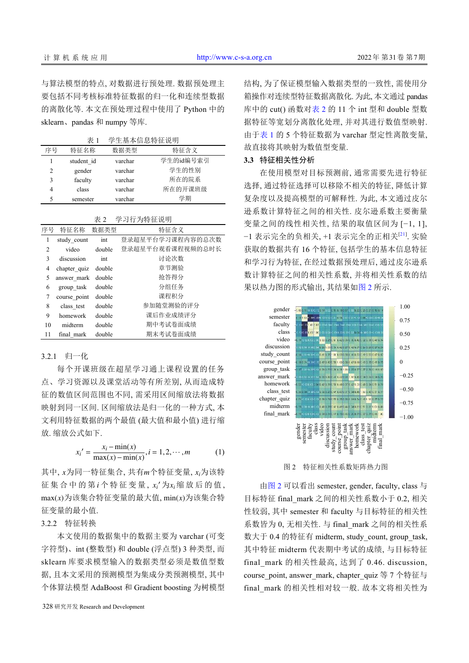与算法模型的特点, 对数据进行预处理. 数据预处理主 要包括不同考核标准特征数据的归一化和连续型数据 的离散化等. 本文在预处理过程中使用了 Python 中的 sklearn、pandas 和 numpy 等库.

<span id="page-3-0"></span>表 1 学生基本信息特征说明

| 序号 | 特征名称       | 数据类型    | 特征含义      |
|----|------------|---------|-----------|
|    | student id | varchar | 学生的id编号索引 |
| 2  | gender     | varchar | 学生的性别     |
| 3  | faculty    | varchar | 所在的院系     |
| 4  | class      | varchar | 所在的开课班级   |
| 5  | semester   | varchar | 学期        |

<span id="page-3-1"></span>表 2 学习行为特征说明

| 序号             | 特征名称         | 数据类型   | 特征含义             |
|----------------|--------------|--------|------------------|
| 1              | study count  | int    | 登录超星平台学习课程内容的总次数 |
| $\overline{c}$ | video        | double | 登录超星平台观看课程视频的总时长 |
| 3              | discussion   | int    | 讨论次数             |
| 4              | chapter quiz | double | 章节测验             |
| 5              | answer mark  | double | 抢答得分             |
| 6              | group task   | double | 分组任务             |
| 7              | course point | double | 课程积分             |
| 8              | class test   | double | 参加随堂测验的评分        |
| 9              | homework     | double | 课后作业成绩评分         |
| 10             | midterm      | double | 期中考试卷面成绩         |
| 11             | final mark   | double | 期末考试卷面成绩         |

#### 3.2.1 归一化

每个开课班级在超星学习通上课程设置的任务 点、学习资源以及课堂活动等有所差别, 从而造成特 征的数值区间范围也不同, 需采用区间缩放法将数据 映射到同一区间. 区间缩放法是归一化的一种方式, 本 文利用特征数据的两个最值 (最大值和最小值) 进行缩 放. 缩放公式如下.

$$
x_i' = \frac{x_i - \min(x)}{\max(x) - \min(x)}, i = 1, 2, \cdots, m
$$
 (1)

其中, x为同一特征集合, 共有m个特征变量, x<sub>i</sub>为该特 征集合中的第 $i$ 个特征变量,  $x_i$ '为 $x_i$ 缩放后的值,  $\max(x)$ 为该集合特征变量的最大值,  $\min(x)$ 为该集合特 征变量的最小值.

3.2.2 特征转换

本文使用的数据集中的数据主要为 varchar (可变 字符型)、int (整数型) 和 double (浮点型) 3 种类型, 而 sklearn 库要求模型输入的数据类型必须是数值型数 据, 且本文采用的预测模型为集成分类预测模型, 其中 个体算法模型 AdaBoost 和 Gradient boosting 为树模型

328 研究开发 Research and Development

结构, 为了保证模型输入数据类型的一致性, 需使用分 箱操作对连续型特征数据离散化. 为此, 本文通过 pandas 库中的 cut() 函数对[表](#page-3-1) [2](#page-3-1) 的 11 个 int 型和 double 型数 据特征等宽划分离散化处理, 并对其进行数值型映射. 由于[表](#page-3-0) [1](#page-3-0) 的 5 个特征数据为 varchar 型定性离散变量, 故直接将其映射为数值型变量.

# **3.3** 特征相关性分析

在使用模型对目标预测前, 通常需要先进行特征 选择, 通过特征选择可以移除不相关的特征, 降低计算 复杂度以及提高模型的可解释性. 为此, 本文通过皮尔 逊系数计算特征之间的相关性. 皮尔逊系数主要衡量 变量之间的线性相关性, 结果的取值区间为 [−1, 1], −1 表示完全的负相关, +1 表示完全的正相关[[21\]](#page-7-8) . 实验 获取的数据共有 16 个特征, 包括学生的基本信息特征 和学习行为特征, 在经过数据预处理后, 通过皮尔逊系 数计算特征之间的相关性系数, 并将相关性系数的结 果以热力图的形式输出, 其结果如[图](#page-3-2) [2](#page-3-2) 所示.



图 2 特征相关性系数矩阵热力图

<span id="page-3-2"></span>由[图](#page-3-2) [2](#page-3-2) 可以看出 semester, gender, faculty, class 与 目标特征 final\_mark 之间的相关性系数小于 0.2, 相关 性较弱, 其中 semester 和 faculty 与目标特征的相关性 系数皆为 0, 无相关性. 与 final\_mark 之间的相关性系 数大于 0.4 的特征有 midterm, study\_count, group\_task, 其中特征 midterm 代表期中考试的成绩, 与目标特征 final\_mark 的相关性最高, 达到了 0.46. discussion, course\_point, answer\_mark, chapter\_quiz 等 7 个特征与 final\_mark 的相关性相对较一般. 故本文将相关性为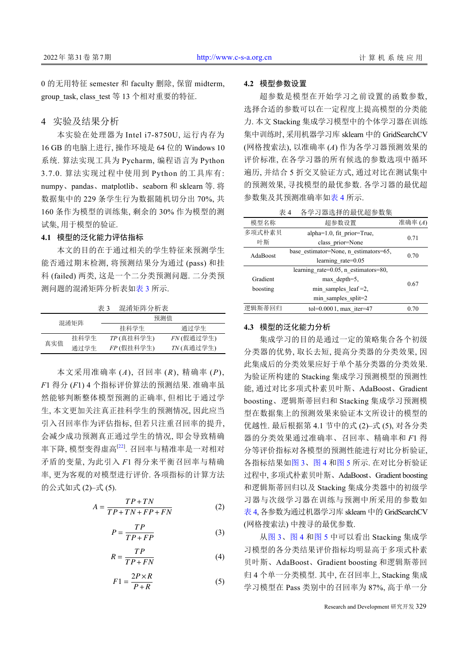0 的无用特征 semester 和 faculty 删除, 保留 midterm, group\_task, class\_test 等 13 个相对重要的特征.

### 4 实验及结果分析

本实验在处理器为 Intel i7-8750U, 运行内存为 16 GB 的电脑上进行, 操作环境是 64 位的 Windows 10 系统. 算法实现工具为 Pycharm, 编程语言为 Python 3.7.0. 算法实现过程中使用到 Python 的工具库有: numpy、pandas、matplotlib、seaborn 和 sklearn 等. 将 数据集中的 229 条学生行为数据随机切分出 70%, 共 160 条作为模型的训练集, 剩余的 30% 作为模型的测 试集, 用于模型的验证.

## **4.1** 模型的泛化能力评估指标

本文的目的在于通过相关的学生特征来预测学生 能否通过期末检测, 将预测结果分为通过 (pass) 和挂 科 (failed) 两类, 这是一个二分类预测问题. 二分类预 测问题的混淆矩阵分析表[如表](#page-4-0) [3](#page-4-0) 所示.

<span id="page-4-0"></span>表 3 混淆矩阵分析表

| 混淆矩阵 |      | 预测值          |              |  |
|------|------|--------------|--------------|--|
|      |      | 挂科学生         | 诵讨学生         |  |
| 真实值  | 挂科学生 | $TP$ (真挂科学生) | $FN$ (假通过学生) |  |
|      | 通过学生 | FP (假挂科学生)   | $TN$ (真通过学生) |  |

本文采用准确率 (*A*), 召回率 (*R*), 精确率 (*P*), *F*1 得分 (*F*1) 4 个指标评价算法的预测结果. 准确率虽 然能够判断整体模型预测的正确率, 但相比于通过学 生, 本文更加关注真正挂科学生的预测情况, 因此应当 引入召回率作为评估指标, 但若只注重召回率的提升, 会减少成功预测真正通过学生的情况, 即会导致精确 率下降, 模型变得虚高<sup>[[22\]](#page-7-9)</sup>. 召回率与精准率是一对相对 矛盾的变量, 为此引入 *F*1 得分来平衡召回率与精确 率, 更为客观的对模型进行评价. 各项指标的计算方法 的公式如式 (2)–式 (5).

$$
A = \frac{TP + TN}{TP + TN + FP + FN}
$$
 (2)

$$
P = \frac{TP}{TP + FP}
$$
 (3)

$$
R = \frac{TP}{TP + FN} \tag{4}
$$

$$
F1 = \frac{2P \times R}{P + R} \tag{5}
$$

#### **4.2** 模型参数设置

超参数是模型在开始学习之前设置的函数参数, 选择合适的参数可以在一定程度上提高模型的分类能 力. 本文 Stacking 集成学习模型中的个体学习器在训练 集中训练时, 采用机器学习库 sklearn 中的 GridSearchCV (网格搜索法), 以准确率 (*A*) 作为各学习器预测效果的 评价标准, 在各学习器的所有候选的参数选项中循环 遍历, 并结合 5 折交叉验证方式, 通过对比在测试集中 的预测效果, 寻找模型的最优参数. 各学习器的最优超 参数集及其预测准确率如[表](#page-4-1) [4](#page-4-1) 所示.

<span id="page-4-1"></span>表 4 各学习器选择的最优超参数集

| 模型名称                                  | 超参数设置                                        |      |  |  |
|---------------------------------------|----------------------------------------------|------|--|--|
| 多项式朴素贝<br>alpha=1.0, fit prior=True,  |                                              |      |  |  |
| 叶斯                                    | class prior=None                             | 0.71 |  |  |
| AdaBoost                              | base estimator=None, n estimators=65,        | 0.70 |  |  |
|                                       | learning rate= $0.05$                        |      |  |  |
|                                       | learning rate= $0.05$ , n estimators= $80$ , |      |  |  |
| Gradient                              | $max$ depth=5,                               | 0.67 |  |  |
| boosting                              | min samples leaf $=2$ ,                      |      |  |  |
|                                       | min samples split=2                          |      |  |  |
| 逻辑斯蒂回归<br>tol= $0.0001$ , max iter=47 |                                              | 0.70 |  |  |

#### **4.3** 模型的泛化能力分析

集成学习的目的是通过一定的策略集合各个初级 分类器的优势, 取长去短, 提高分类器的分类效果, 因 此集成后的分类效果应好于单个基分类器的分类效果. 为验证所构建的 Stacking 集成学习预测模型的预测性 能, 通过对比多项式朴素贝叶斯、AdaBoost、Gradient boosting、逻辑斯蒂回归和 Stacking 集成学习预测模 型在数据集上的预测效果来验证本文所设计的模型的 优越性. 最后根据第 4.1 节中的式 (2)–式 (5), 对各分类 器的分类效果通过准确率、召回率、精确率和 *F*1 得 分等评价指标对各模型的预测性能进行对比分析验证, 各指标结果如[图](#page-5-0) [3](#page-5-0)[、图](#page-5-1) [4](#page-5-1) 和[图](#page-6-12) [5](#page-6-12) 所示. 在对比分析验证 过程中, 多项式朴素贝叶斯、AdaBoost、Gradient boosting 和逻辑斯蒂回归以及 Stacking 集成分类器中的初级学 习器与次级学习器在训练与预测中所采用的参数如 [表](#page-4-1) [4,](#page-4-1) 各参数为通过机器学习库 sklearn 中的 GridSearchCV (网格搜索法) 中搜寻的最优参数.

从[图](#page-5-0) [3](#page-5-0)、[图](#page-5-1) [4](#page-5-1) 和[图](#page-6-12) [5](#page-6-12) 中可以看出 Stacking 集成学 习模型的各分类结果评价指标均明显高于多项式朴素 贝叶斯、AdaBoost、Gradient boosting 和逻辑斯蒂回 归 4 个单一分类模型. 其中, 在召回率上, Stacking 集成 学习模型在 Pass 类别中的召回率为 87%, 高于单一分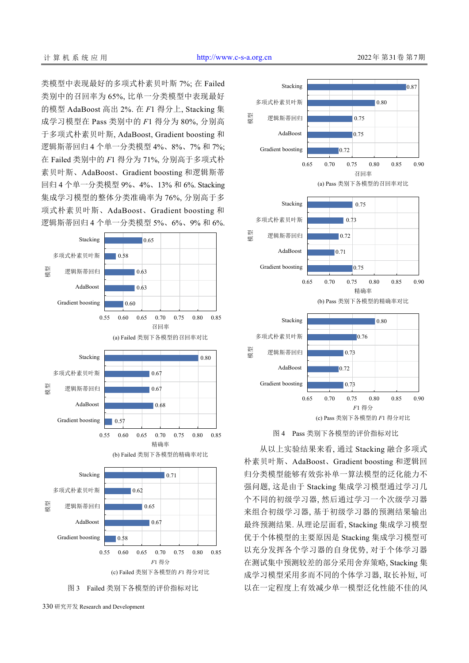类模型中表现最好的多项式朴素贝叶斯 7%; 在 Failed 类别中的召回率为 65%, 比单一分类模型中表现最好 的模型 AdaBoost 高出 2%. 在 *F*1 得分上, Stacking 集 成学习模型在 Pass 类别中的 *F*1 得分为 80%, 分别高 于多项式朴素贝叶斯, AdaBoost, Gradient boosting 和 逻辑斯蒂回归 4 个单一分类模型 4%、8%、7% 和 7%; 在 Failed 类别中的 *F*1 得分为 71%, 分别高于多项式朴 素贝叶斯、AdaBoost、Gradient boosting 和逻辑斯蒂 回归 4 个单一分类模型 9%、4%、13% 和 6%. Stacking 集成学习模型的整体分类准确率为 76%, 分别高于多 项式朴素贝叶斯、AdaBoost、Gradient boosting 和 逻辑斯蒂回归 4 个单一分类模型 5%、6%、9% 和 6%.



<span id="page-5-0"></span>





<span id="page-5-1"></span>从以上实验结果来看, 通过 Stacking 融合多项式 朴素贝叶斯、AdaBoost、Gradient boosting 和逻辑回 归分类模型能够有效弥补单一算法模型的泛化能力不 强问题, 这是由于 Stacking 集成学习模型通过学习几 个不同的初级学习器, 然后通过学习一个次级学习器 来组合初级学习器, 基于初级学习器的预测结果输出 最终预测结果. 从理论层面看, Stacking 集成学习模型 优于个体模型的主要原因是 Stacking 集成学习模型可 以充分发挥各个学习器的自身优势, 对于个体学习器 在测试集中预测较差的部分采用舍弃策略, Stacking 集 成学习模型采用多而不同的个体学习器, 取长补短, 可 以在一定程度上有效减少单一模型泛化性能不佳的风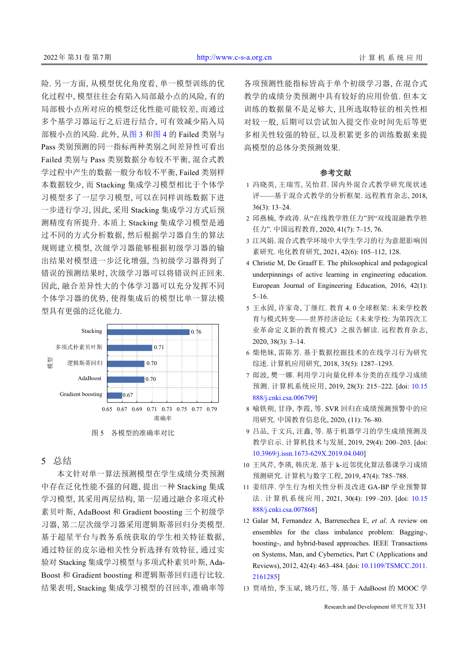险. 另一方面, 从模型优化角度看, 单一模型训练的优 化过程中, 模型往往会有陷入局部最小点的风险, 有的 局部极小点所对应的模型泛化性能可能较差, 而通过 多个基学习器运行之后进行结合, 可有效减少陷入局 部极小点的风险. 此外, 从[图](#page-5-0) [3](#page-5-0) [和图](#page-5-1) [4](#page-5-1) 的 Failed 类别与 Pass 类别预测的同一指标两种类别之间差异性可看出 Failed 类别与 Pass 类别数据分布较不平衡, 混合式教 学过程中产生的数据一般分布较不平衡, Failed 类别样 本数据较少, 而 Stacking 集成学习模型相比于个体学 习模型多了一层学习模型, 可以在同样训练数据下进 一步进行学习, 因此, 采用 Stacking 集成学习方式后预 测精度有所提升. 本质上 Stacking 集成学习模型是通 过不同的方式分析数据, 然后根据学习器自生的算法 规则建立模型, 次级学习器能够根据初级学习器的输 出结果对模型进一步泛化增强, 当初级学习器得到了 错误的预测结果时, 次级学习器可以将错误纠正回来. 因此, 融合差异性大的个体学习器可以充分发挥不同 个体学习器的优势, 使得集成后的模型比单一算法模 型具有更强的泛化能力.



# <span id="page-6-12"></span>5 总结

本文针对单一算法预测模型在学生成绩分类预测 中存在泛化性能不强的问题, 提出一种 Stacking 集成 学习模型, 其采用两层结构, 第一层通过融合多项式朴 素贝叶斯, AdaBoost 和 Gradient boosting 三个初级学 习器, 第二层次级学习器采用逻辑斯蒂回归分类模型. 基于超星平台与教务系统获取的学生相关特征数据, 通过特征的皮尔逊相关性分析选择有效特征, 通过实 验对 Stacking 集成学习模型与多项式朴素贝叶斯, Ada-Boost 和 Gradient boosting 和逻辑斯蒂回归进行比较. 结果表明, Stacking 集成学习模型的召回率, 准确率等 各项预测性能指标皆高于单个初级学习器, 在混合式 教学的成绩分类预测中具有较好的应用价值. 但本文 训练的数据量不是足够大, 且所选取特征的相关性相 对较一般, 后期可以尝试加入提交作业时间先后等更 多相关性较强的特征, 以及积累更多的训练数据来提 高模型的总体分类预测效果.

#### <span id="page-6-1"></span>参考文献

- 1 冯晓英, 王瑞雪, 吴怡君. 国内外混合式教学研究现状述 评——基于混合式教学的分析框架. 远程教育杂志, 2018, 36(3): 13–24.
- <span id="page-6-0"></span>邱燕楠, 李政涛. 从"在线教学胜任力"到"双线混融教学胜 2 任力". 中国远程教育, 2020, 41(7): 7–15, 76.
- <span id="page-6-2"></span>3 江凤娟. 混合式教学环境中大学生学习的行为意愿影响因 素研究. 电化教育研究, 2021, 42(6): 105–112, 128.
- Christie M, De Graaff E. The philosophical and pedagogical 4 underpinnings of active learning in engineering education. European Journal of Engineering Education, 2016, 42(1): 5–16.
- <span id="page-6-3"></span>5 王永固, 许家奇, 丁继红. 教育 4. 0 全球框架: 未来学校教 育与模式转变——世界经济论坛《未来学校: 为第四次工 业革命定义新的教育模式》之报告解读. 远程教育杂志, 2020, 38(3): 3–14.
- <span id="page-6-5"></span><span id="page-6-4"></span>6 柴艳妹, 雷陈芳. 基于数据挖掘技术的在线学习行为研究 综述. 计算机应用研究, 2018, 35(5): 1287–1293.
- <span id="page-6-6"></span>7 郎波, 樊一娜. 利用学习向量化样本分类的在线学习成绩 预测. 计算机系统应用, 2019, 28(3): 215–222. [doi: [10.15](http://dx.doi.org/10.15888/j.cnki.csa.006799) [888/j.cnki.csa.006799\]](http://dx.doi.org/10.15888/j.cnki.csa.006799)
- 喻铁朔, 甘琤, 李霞, 等. SVR 回归在成绩预测预警中的应 8 用研究. 中国教育信息化, 2020, (11): 76–80.
- <span id="page-6-8"></span><span id="page-6-7"></span>9 吕品, 于文兵, 汪鑫, 等. 基于机器学习的学生成绩预测及 教学启示. 计算机技术与发展, 2019, 29(4): 200–203. [doi: [10.3969/j.issn.1673-629X.2019.04.040\]](http://dx.doi.org/10.3969/j.issn.1673-629X.2019.04.040)
- <span id="page-6-9"></span>王凤芹, 李瑛, 韩庆龙. 基于 k-近邻优化算法慕课学习成绩 10 预测研究. 计算机与数字工程, 2019, 47(4): 785–788.
- <span id="page-6-10"></span>姜绍萍. 学生行为相关性分析及改进 GA-BP 学业[预警算](http://dx.doi.org/10.15888/j.cnki.csa.007868) 11 法. [计算机系统应用](http://dx.doi.org/10.15888/j.cnki.csa.007868), 2021, 30(4): 199 –203. [doi: [10.15](http://dx.doi.org/10.15888/j.cnki.csa.007868) [888/j.cnki.csa.007868\]](http://dx.doi.org/10.15888/j.cnki.csa.007868)
- 12 Galar M, Fernandez A, Barrenechea E, et al. A review on ensembles for the class imbalance problem: Bagging-, boosting-, and hybrid-based approaches. IEEE Transactions on Systems, Man, and Cybernetics, P[art C \(Applications and](http://dx.doi.org/10.1109/TSMCC.2011.2161285) [Reviews\)](http://dx.doi.org/10.1109/TSMCC.2011.2161285), 2012, 42(4): 463–484. [doi: [10.1109/TSMCC.2011.](http://dx.doi.org/10.1109/TSMCC.2011.2161285) [2161285](http://dx.doi.org/10.1109/TSMCC.2011.2161285)]
- <span id="page-6-11"></span>13 贾靖怡, 李玉斌, 姚巧红, 等. 基于 AdaBoost 的 MOOC 学